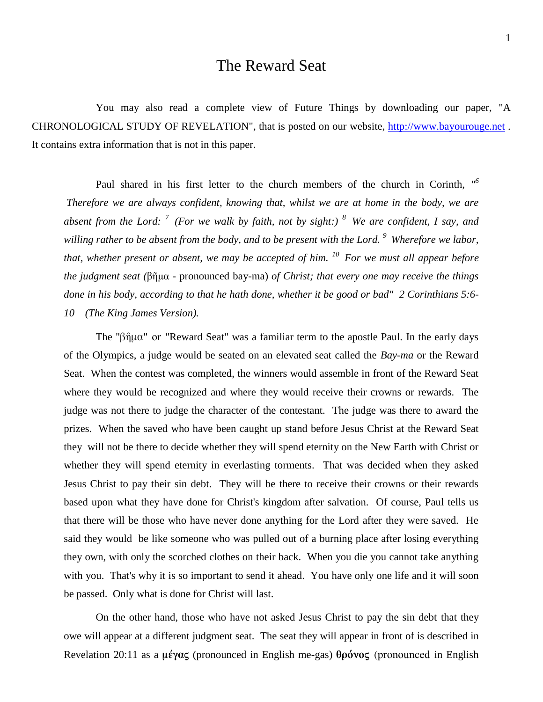## The Reward Seat

You may also read a complete view of Future Things by downloading our paper, "A CHRONOLOGICAL STUDY OF REVELATION", that is posted on our website, [http://www.bayourouge.net](http://www.bayourouge.net/). It contains extra information that is not in this paper.

Paul shared in his first letter to the church members of the church in Corinth, *" 6 Therefore we are always confident, knowing that, whilst we are at home in the body, we are absent from the Lord: <sup>7</sup>(For we walk by faith, not by sight:) <sup>8</sup>We are confident, I say, and willing rather to be absent from the body, and to be present with the Lord. <sup>9</sup>Wherefore we labor, that, whether present or absent, we may be accepted of him. <sup>10</sup>For we must all appear before the judgment seat (*βῆμα - pronounced bay-ma) *of Christ; that every one may receive the things done in his body, according to that he hath done, whether it be good or bad" 2 Corinthians 5:6- 10 (The King James Version).*

The "βῆμα" or "Reward Seat" was a familiar term to the apostle Paul. In the early days of the Olympics, a judge would be seated on an elevated seat called the *Bay-ma* or the Reward Seat. When the contest was completed, the winners would assemble in front of the Reward Seat where they would be recognized and where they would receive their crowns or rewards. The judge was not there to judge the character of the contestant. The judge was there to award the prizes. When the saved who have been caught up stand before Jesus Christ at the Reward Seat they will not be there to decide whether they will spend eternity on the New Earth with Christ or whether they will spend eternity in everlasting torments. That was decided when they asked Jesus Christ to pay their sin debt. They will be there to receive their crowns or their rewards based upon what they have done for Christ's kingdom after salvation. Of course, Paul tells us that there will be those who have never done anything for the Lord after they were saved. He said they would be like someone who was pulled out of a burning place after losing everything they own, with only the scorched clothes on their back. When you die you cannot take anything with you. That's why it is so important to send it ahead. You have only one life and it will soon be passed. Only what is done for Christ will last.

On the other hand, those who have not asked Jesus Christ to pay the sin debt that they owe will appear at a different judgment seat. The seat they will appear in front of is described in Revelation 20:11 as a **μέγας** (pronounced in English me-gas) **θρόνος** (pronounced in English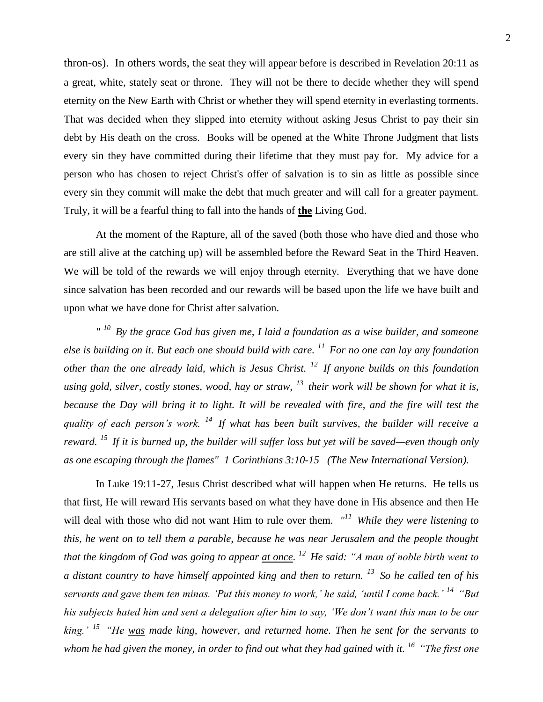thron-os). In others words, the seat they will appear before is described in Revelation 20:11 as a great, white, stately seat or throne. They will not be there to decide whether they will spend eternity on the New Earth with Christ or whether they will spend eternity in everlasting torments. That was decided when they slipped into eternity without asking Jesus Christ to pay their sin debt by His death on the cross. Books will be opened at the White Throne Judgment that lists every sin they have committed during their lifetime that they must pay for. My advice for a person who has chosen to reject Christ's offer of salvation is to sin as little as possible since every sin they commit will make the debt that much greater and will call for a greater payment. Truly, it will be a fearful thing to fall into the hands of **the** Living God.

At the moment of the Rapture, all of the saved (both those who have died and those who are still alive at the catching up) will be assembled before the Reward Seat in the Third Heaven. We will be told of the rewards we will enjoy through eternity. Everything that we have done since salvation has been recorded and our rewards will be based upon the life we have built and upon what we have done for Christ after salvation.

*" <sup>10</sup>By the grace God has given me, I laid a foundation as a wise builder, and someone else is building on it. But each one should build with care. <sup>11</sup>For no one can lay any foundation other than the one already laid, which is Jesus Christ. <sup>12</sup>If anyone builds on this foundation using gold, silver, costly stones, wood, hay or straw, <sup>13</sup>their work will be shown for what it is, because the Day will bring it to light. It will be revealed with fire, and the fire will test the quality of each person's work. <sup>14</sup>If what has been built survives, the builder will receive a reward. <sup>15</sup>If it is burned up, the builder will suffer loss but yet will be saved—even though only as one escaping through the flames" 1 Corinthians 3:10-15 (The New International Version).*

In Luke 19:11-27, Jesus Christ described what will happen when He returns. He tells us that first, He will reward His servants based on what they have done in His absence and then He will deal with those who did not want Him to rule over them. *" <sup>11</sup>While they were listening to this, he went on to tell them a parable, because he was near Jerusalem and the people thought that the kingdom of God was going to appear at once. <sup>12</sup>He said: "A man of noble birth went to a distant country to have himself appointed king and then to return. <sup>13</sup>So he called ten of his servants and gave them ten minas. 'Put this money to work,' he said, 'until I come back.' <sup>14</sup>"But his subjects hated him and sent a delegation after him to say, 'We don't want this man to be our king.' <sup>15</sup>"He was made king, however, and returned home. Then he sent for the servants to whom he had given the money, in order to find out what they had gained with it. <sup>16</sup>"The first one*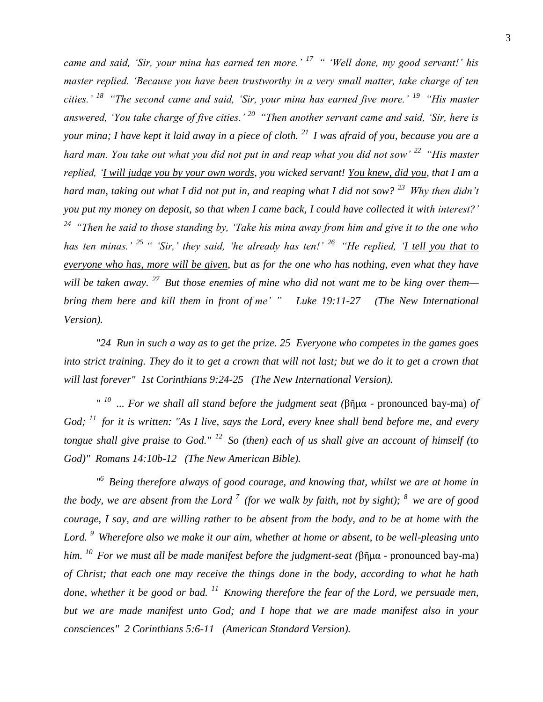*came and said, 'Sir, your mina has earned ten more.' <sup>17</sup>" 'Well done, my good servant!' his master replied. 'Because you have been trustworthy in a very small matter, take charge of ten cities.' <sup>18</sup>"The second came and said, 'Sir, your mina has earned five more.' <sup>19</sup>"His master answered, 'You take charge of five cities.' <sup>20</sup>"Then another servant came and said, 'Sir, here is your mina; I have kept it laid away in a piece of cloth. <sup>21</sup>I was afraid of you, because you are a hard man. You take out what you did not put in and reap what you did not sow' <sup>22</sup>"His master replied, 'I will judge you by your own words, you wicked servant! You knew, did you, that I am a hard man, taking out what I did not put in, and reaping what I did not sow? <sup>23</sup>Why then didn't you put my money on deposit, so that when I came back, I could have collected it with interest?' <sup>24</sup>"Then he said to those standing by, 'Take his mina away from him and give it to the one who has ten minas.' <sup>25</sup> " 'Sir,' they said, 'he already has ten!' <sup>26</sup>"He replied, 'I tell you that to everyone who has, more will be given, but as for the one who has nothing, even what they have will be taken away. <sup>27</sup>But those enemies of mine who did not want me to be king over them bring them here and kill them in front of me' " Luke 19:11-27 (The New International Version).*

*"24 Run in such a way as to get the prize. 25 Everyone who competes in the games goes into strict training. They do it to get a crown that will not last; but we do it to get a crown that will last forever" 1st Corinthians 9:24-25 (The New International Version).*

*" 10 ... For we shall all stand before the judgment seat (*βῆμα - pronounced bay-ma) *of God; <sup>11</sup>for it is written: "As I live, says the Lord, every knee shall bend before me, and every tongue shall give praise to God." <sup>12</sup>So (then) each of us shall give an account of himself (to God)" Romans 14:10b-12 (The New American Bible).*

*" <sup>6</sup>Being therefore always of good courage, and knowing that, whilst we are at home in the body, we are absent from the Lord*  $\frac{7}{7}$  (for we walk by faith, not by sight);  $\frac{8}{7}$  we are of good *courage, I say, and are willing rather to be absent from the body, and to be at home with the Lord. <sup>9</sup>Wherefore also we make it our aim, whether at home or absent, to be well-pleasing unto him. <sup>10</sup>For we must all be made manifest before the judgment-seat (*βῆμα - pronounced bay-ma) *of Christ; that each one may receive the things done in the body, according to what he hath done, whether it be good or bad. <sup>11</sup>Knowing therefore the fear of the Lord, we persuade men, but we are made manifest unto God; and I hope that we are made manifest also in your consciences" 2 Corinthians 5:6-11 (American Standard Version).*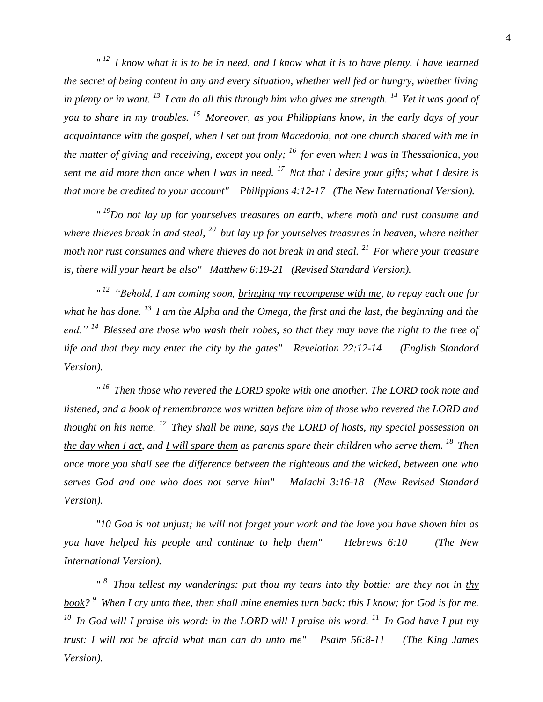*" <sup>12</sup>I know what it is to be in need, and I know what it is to have plenty. I have learned the secret of being content in any and every situation, whether well fed or hungry, whether living in plenty or in want. <sup>13</sup>I can do all this through him who gives me strength. <sup>14</sup>Yet it was good of you to share in my troubles. <sup>15</sup>Moreover, as you Philippians know, in the early days of your acquaintance with the gospel, when I set out from Macedonia, not one church shared with me in the matter of giving and receiving, except you only; <sup>16</sup>for even when I was in Thessalonica, you sent me aid more than once when I was in need. <sup>17</sup>Not that I desire your gifts; what I desire is that more be credited to your account" Philippians 4:12-17 (The New International Version).*

*" <sup>19</sup>Do not lay up for yourselves treasures on earth, where moth and rust consume and where thieves break in and steal, <sup>20</sup>but lay up for yourselves treasures in heaven, where neither moth nor rust consumes and where thieves do not break in and steal. <sup>21</sup>For where your treasure is, there will your heart be also" Matthew 6:19-21 (Revised Standard Version).*

*" <sup>12</sup>"Behold, I am coming soon, bringing my recompense with me, to repay each one for what he has done. <sup>13</sup>I am the Alpha and the Omega, the first and the last, the beginning and the end." <sup>14</sup>Blessed are those who wash their robes, so that they may have the right to the tree of life and that they may enter the city by the gates" Revelation 22:12-14 (English Standard Version).*

*" <sup>16</sup>Then those who revered the LORD spoke with one another. The LORD took note and listened, and a book of remembrance was written before him of those who revered the LORD and thought on his name. <sup>17</sup>They shall be mine, says the LORD of hosts, my special possession on the day when I act, and I will spare them as parents spare their children who serve them. <sup>18</sup>Then once more you shall see the difference between the righteous and the wicked, between one who serves God and one who does not serve him" Malachi 3:16-18 (New Revised Standard Version).*

*"10 God is not unjust; he will not forget your work and the love you have shown him as you have helped his people and continue to help them" Hebrews 6:10 (The New International Version).*

*" <sup>8</sup>Thou tellest my wanderings: put thou my tears into thy bottle: are they not in thy book?* <sup>9</sup> When I cry unto thee, then shall mine enemies turn back: this I know; for God is for me. *<sup>10</sup>In God will I praise his word: in the LORD will I praise his word. <sup>11</sup>In God have I put my trust: I will not be afraid what man can do unto me" Psalm 56:8-11 (The King James Version).*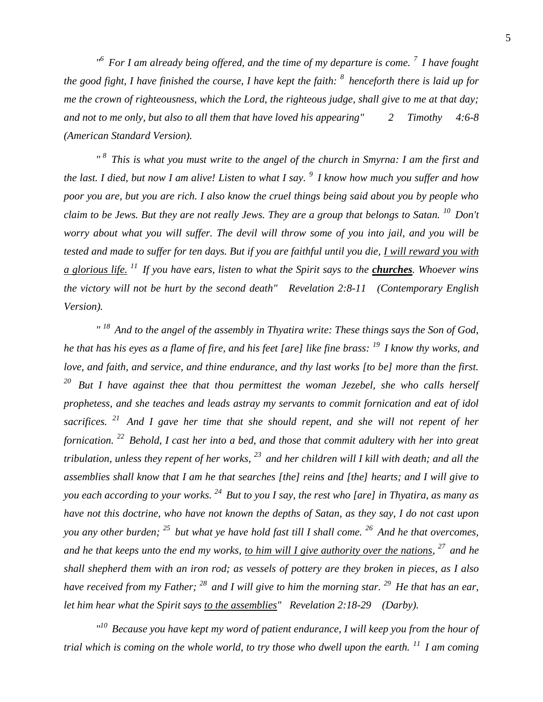*" <sup>6</sup>For I am already being offered, and the time of my departure is come. <sup>7</sup>I have fought the good fight, I have finished the course, I have kept the faith: <sup>8</sup>henceforth there is laid up for me the crown of righteousness, which the Lord, the righteous judge, shall give to me at that day; and not to me only, but also to all them that have loved his appearing" 2 Timothy 4:6-8 (American Standard Version).*

*" <sup>8</sup>This is what you must write to the angel of the church in Smyrna: I am the first and the last. I died, but now I am alive! Listen to what I say. <sup>9</sup>I know how much you suffer and how poor you are, but you are rich. I also know the cruel things being said about you by people who claim to be Jews. But they are not really Jews. They are a group that belongs to Satan. <sup>10</sup>Don't worry about what you will suffer. The devil will throw some of you into jail, and you will be tested and made to suffer for ten days. But if you are faithful until you die, I will reward you with a glorious life. <sup>11</sup>If you have ears, listen to what the Spirit says to the churches. Whoever wins the victory will not be hurt by the second death" Revelation 2:8-11 (Contemporary English Version).*

*" <sup>18</sup>And to the angel of the assembly in Thyatira write: These things says the Son of God, he that has his eyes as a flame of fire, and his feet [are] like fine brass: <sup>19</sup>I know thy works, and love, and faith, and service, and thine endurance, and thy last works [to be] more than the first. <sup>20</sup>But I have against thee that thou permittest the woman Jezebel, she who calls herself prophetess, and she teaches and leads astray my servants to commit fornication and eat of idol sacrifices. <sup>21</sup>And I gave her time that she should repent, and she will not repent of her fornication. <sup>22</sup>Behold, I cast her into a bed, and those that commit adultery with her into great tribulation, unless they repent of her works, <sup>23</sup>and her children will I kill with death; and all the assemblies shall know that I am he that searches [the] reins and [the] hearts; and I will give to you each according to your works. <sup>24</sup>But to you I say, the rest who [are] in Thyatira, as many as have not this doctrine, who have not known the depths of Satan, as they say, I do not cast upon you any other burden; <sup>25</sup>but what ye have hold fast till I shall come. <sup>26</sup>And he that overcomes, and he that keeps unto the end my works, to him will I give authority over the nations, <sup>27</sup>and he shall shepherd them with an iron rod; as vessels of pottery are they broken in pieces, as I also have received from my Father; <sup>28</sup>and I will give to him the morning star. <sup>29</sup>He that has an ear, let him hear what the Spirit says to the assemblies" Revelation 2:18-29 (Darby).*

*" <sup>10</sup>Because you have kept my word of patient endurance, I will keep you from the hour of trial which is coming on the whole world, to try those who dwell upon the earth. <sup>11</sup>I am coming*